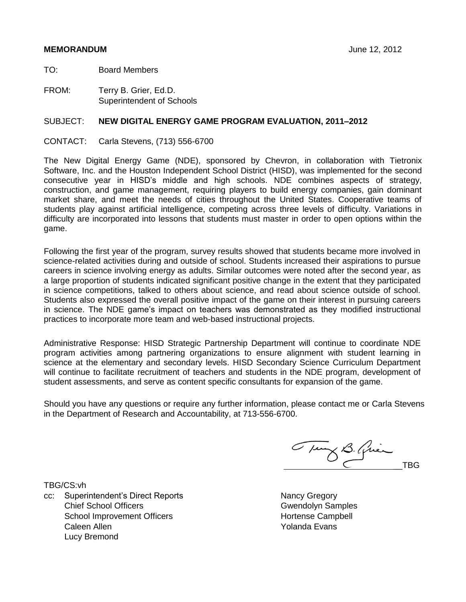# **MEMORANDUM** June 12, 2012

TO: Board Members

FROM: Terry B. Grier, Ed.D. Superintendent of Schools

# SUBJECT: **NEW DIGITAL ENERGY GAME PROGRAM EVALUATION, 2011–2012**

CONTACT: Carla Stevens, (713) 556-6700

The New Digital Energy Game (NDE), sponsored by Chevron, in collaboration with Tietronix Software, Inc. and the Houston Independent School District (HISD), was implemented for the second consecutive year in HISD's middle and high schools. NDE combines aspects of strategy, construction, and game management, requiring players to build energy companies, gain dominant market share, and meet the needs of cities throughout the United States. Cooperative teams of students play against artificial intelligence, competing across three levels of difficulty. Variations in difficulty are incorporated into lessons that students must master in order to open options within the game.

Following the first year of the program, survey results showed that students became more involved in science-related activities during and outside of school. Students increased their aspirations to pursue careers in science involving energy as adults. Similar outcomes were noted after the second year, as a large proportion of students indicated significant positive change in the extent that they participated in science competitions, talked to others about science, and read about science outside of school. Students also expressed the overall positive impact of the game on their interest in pursuing careers in science. The NDE game's impact on teachers was demonstrated as they modified instructional practices to incorporate more team and web-based instructional projects.

Administrative Response: HISD Strategic Partnership Department will continue to coordinate NDE program activities among partnering organizations to ensure alignment with student learning in science at the elementary and secondary levels. HISD Secondary Science Curriculum Department will continue to facilitate recruitment of teachers and students in the NDE program, development of student assessments, and serve as content specific consultants for expansion of the game.

Should you have any questions or require any further information, please contact me or Carla Stevens in the Department of Research and Accountability, at 713-556-6700.

TBG/CS:vh

cc: Superintendent's Direct Reports Nancy Gregory Chief School Officers Gwendolyn Samples School Improvement Officers Caleen Allen Lucy Bremond

Tury B. Quien

Hortense Campbell Yolanda Evans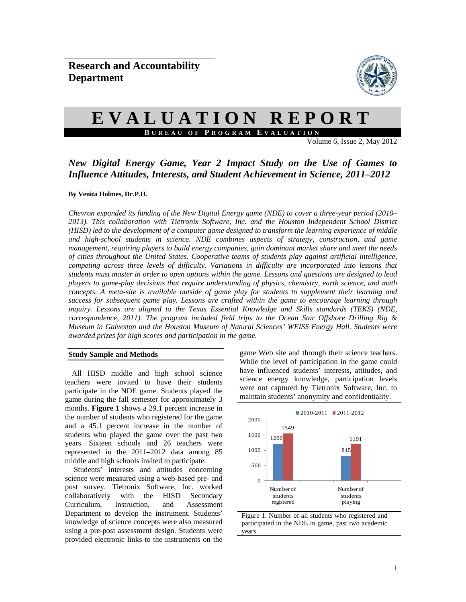

# **EVALUATION REPORT B UREAU OF P ROGRAM E VALUATION**

Volume 6, Issue 2, May 2012

# *New Digital Energy Game, Year 2 Impact Study on the Use of Games to Influence Attitudes, Interests, and Student Achievement in Science, 2011–2012*

#### **By Venita Holmes, Dr.P.H.**

*Chevron expanded its funding of the New Digital Energy game (NDE) to cover a three-year period (2010– 2013). This collaboration with Tietronix Software, Inc. and the Houston Independent School District (HISD) led to the development of a computer game designed to transform the learning experience of middle and high-school students in science. NDE combines aspects of strategy, construction, and game management, requiring players to build energy companies, gain dominant market share and meet the needs of cities throughout the United States. Cooperative teams of students play against artificial intelligence, competing across three levels of difficulty. Variations in difficulty are incorporated into lessons that students must master in order to open options within the game. Lessons and questions are designed to lead players to game-play decisions that require understanding of physics, chemistry, earth science, and math concepts. A meta-site is available outside of game play for students to supplement their learning and success for subsequent game play. Lessons are crafted within the game to encourage learning through inquiry. Lessons are aligned to the Texas Essential Knowledge and Skills standards (TEKS) (NDE, correspondence, 2011). The program included field trips to the Ocean Star Offshore Drilling Rig & Museum in Galveston and the Houston Museum of Natural Sciences' WEISS Energy Hall. Students were awarded prizes for high scores and participation in the game.* 

#### **Study Sample and Methods**

All HISD middle and high school science teachers were invited to have their students participate in the NDE game. Students played the game during the fall semester for approximately 3 months. **Figure 1** shows a 29.1 percent increase in the number of students who registered for the game and a 45.1 percent increase in the number of students who played the game over the past two years. Sixteen schools and 26 teachers were represented in the 2011–2012 data among 85 middle and high schools invited to participate.

Students' interests and attitudes concerning science were measured using a web-based pre- and post survey. Tietronix Software, Inc. worked collaboratively with the HISD Secondary Curriculum, Instruction, and Assessment Department to develop the instrument. Students' knowledge of science concepts were also measured using a pre-post assessment design. Students were provided electronic links to the instruments on the game Web site and through their science teachers. While the level of participation in the game could have influenced students' interests, attitudes, and science energy knowledge, participation levels were not captured by Tietronix Software, Inc. to maintain students' anonymity and confidentiality.



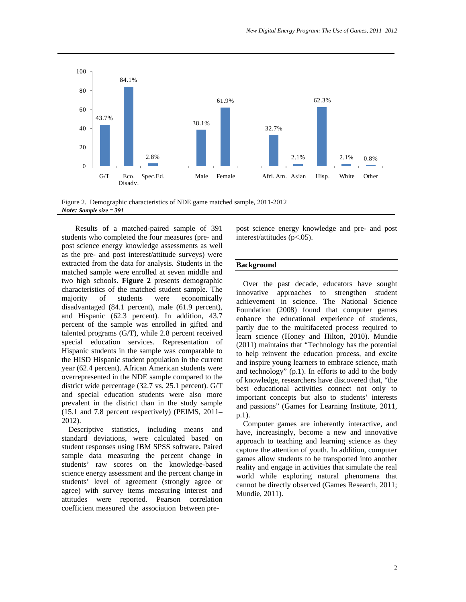

Figure 2. Demographic characteristics of NDE game matched sample, 2011-2012 *Note: Sample size = 391*

Results of a matched-paired sample of 391 students who completed the four measures (pre- and post science energy knowledge assessments as well as the pre- and post interest/attitude surveys) were extracted from the data for analysis. Students in the matched sample were enrolled at seven middle and two high schools. **Figure 2** presents demographic characteristics of the matched student sample. The majority of students were economically disadvantaged (84.1 percent), male (61.9 percent), and Hispanic (62.3 percent). In addition, 43.7 percent of the sample was enrolled in gifted and talented programs (G/T), while 2.8 percent received special education services. Representation of Hispanic students in the sample was comparable to the HISD Hispanic student population in the current year (62.4 percent). African American students were overrepresented in the NDE sample compared to the district wide percentage (32.7 vs. 25.1 percent). G/T and special education students were also more prevalent in the district than in the study sample (15.1 and 7.8 percent respectively) (PEIMS, 2011– 2012).

Descriptive statistics, including means and standard deviations, were calculated based on student responses using IBM SPSS software**.** Paired sample data measuring the percent change in students' raw scores on the knowledge-based science energy assessment and the percent change in students' level of agreement (strongly agree or agree) with survey items measuring interest and attitudes were reported. Pearson correlation coefficient measured the association between prepost science energy knowledge and pre- and post interest/attitudes (p<.05).

#### **Background**

Over the past decade, educators have sought innovative approaches to strengthen student achievement in science. The National Science Foundation (2008) found that computer games enhance the educational experience of students, partly due to the multifaceted process required to learn science (Honey and Hilton, 2010). Mundie (2011) maintains that "Technology has the potential to help reinvent the education process, and excite and inspire young learners to embrace science, math and technology" (p.1). In efforts to add to the body of knowledge, researchers have discovered that, "the best educational activities connect not only to important concepts but also to students' interests and passions" (Games for Learning Institute, 2011, p.1).

Computer games are inherently interactive, and have, increasingly, become a new and innovative approach to teaching and learning science as they capture the attention of youth. In addition, computer games allow students to be transported into another reality and engage in activities that simulate the real world while exploring natural phenomena that cannot be directly observed (Games Research, 2011; Mundie, 2011).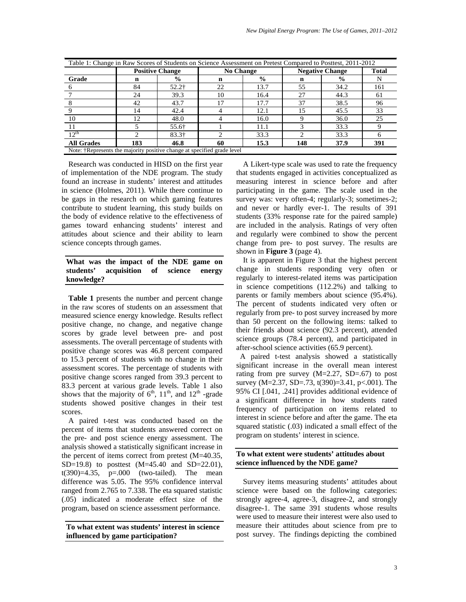| Table 1: Change in Raw Scores of Students on Science Assessment on Pretest Compared to Posttest, 2011-2012 |                        |                     |                  |               |                        |               |              |  |
|------------------------------------------------------------------------------------------------------------|------------------------|---------------------|------------------|---------------|------------------------|---------------|--------------|--|
|                                                                                                            | <b>Positive Change</b> |                     | <b>No Change</b> |               | <b>Negative Change</b> |               | <b>Total</b> |  |
| Grade                                                                                                      | n                      | $\frac{6}{9}$       | n                | $\frac{6}{9}$ | n                      | $\frac{6}{9}$ | N            |  |
|                                                                                                            | 84                     | $52.2$ <sup>+</sup> | 22               | 13.7          | 55                     | 34.2          | 161          |  |
|                                                                                                            | 24                     | 39.3                | 10               | 16.4          | 27                     | 44.3          | 61           |  |
|                                                                                                            | 42                     | 43.7                |                  | 17.7          | 37                     | 38.5          | 96           |  |
|                                                                                                            | 14                     | 42.4                |                  | 12.1          | 15                     | 45.5          | 33           |  |
| 10                                                                                                         | 12                     | 48.0                |                  | 16.0          |                        | 36.0          | 25           |  |
|                                                                                                            |                        | 55.6†               |                  | 11.1          |                        | 33.3          |              |  |
| $12^{th}$                                                                                                  |                        | $83.3\dagger$       |                  | 33.3          |                        | 33.3          | 6            |  |
| <b>All Grades</b>                                                                                          | 183                    | 46.8                | 60               | 15.3          | 148                    | 37.9          | 391          |  |
| Note: †Represents the majority positive change at specified grade level                                    |                        |                     |                  |               |                        |               |              |  |

Research was conducted in HISD on the first year of implementation of the NDE program. The study found an increase in students' interest and attitudes in science (Holmes, 2011). While there continue to be gaps in the research on which gaming features contribute to student learning, this study builds on the body of evidence relative to the effectiveness of games toward enhancing students' interest and attitudes about science and their ability to learn science concepts through games.

#### **What was the impact of the NDE game on students' acquisition of science energy knowledge?**

**Table 1** presents the number and percent change in the raw scores of students on an assessment that measured science energy knowledge. Results reflect positive change, no change, and negative change scores by grade level between pre- and post assessments. The overall percentage of students with positive change scores was 46.8 percent compared to 15.3 percent of students with no change in their assessment scores. The percentage of students with positive change scores ranged from 39.3 percent to 83.3 percent at various grade levels. Table 1 also shows that the majority of  $6<sup>th</sup>$ ,  $11<sup>th</sup>$ , and  $12<sup>th</sup>$  -grade students showed positive changes in their test scores.

A paired t-test was conducted based on the percent of items that students answered correct on the pre- and post science energy assessment. The analysis showed a statistically significant increase in the percent of items correct from pretest (M=40.35, SD=19.8) to posttest (M=45.40 and SD=22.01), t(390)=4.35, p=.000 (two-tailed). The mean difference was 5.05. The 95% confidence interval ranged from 2.765 to 7.338. The eta squared statistic (.05) indicated a moderate effect size of the program, based on science assessment performance.

**To what extent was students' interest in science influenced by game participation?**

A Likert-type scale was used to rate the frequency that students engaged in activities conceptualized as measuring interest in science before and after participating in the game. The scale used in the survey was: very often-4; regularly-3; sometimes-2; and never or hardly ever-1. The results of 391 students (33% response rate for the paired sample) are included in the analysis. Ratings of very often and regularly were combined to show the percent change from pre- to post survey. The results are shown in **Figure 3** (page 4).

It is apparent in Figure 3 that the highest percent change in students responding very often or regularly to interest-related items was participation in science competitions (112.2%) and talking to parents or family members about science (95.4%). The percent of students indicated very often or regularly from pre- to post survey increased by more than 50 percent on the following items: talked to their friends about science (92.3 percent), attended science groups (78.4 percent), and participated in after-school science activities (65.9 percent).

A paired t-test analysis showed a statistically significant increase in the overall mean interest rating from pre survey  $(M=2.27, SD=.67)$  to post survey (M=2.37, SD=.73, t(390)=3.41, p<.001). The 95% CI [.041, .241] provides additional evidence of a significant difference in how students rated frequency of participation on items related to interest in science before and after the game. The eta squared statistic (.03) indicated a small effect of the program on students' interest in science.

## **To what extent were students' attitudes about science influenced by the NDE game?**

Survey items measuring students' attitudes about science were based on the following categories: strongly agree-4, agree-3, disagree-2, and strongly disagree-1. The same 391 students whose results were used to measure their interest were also used to measure their attitudes about science from pre to post survey. The findings depicting the combined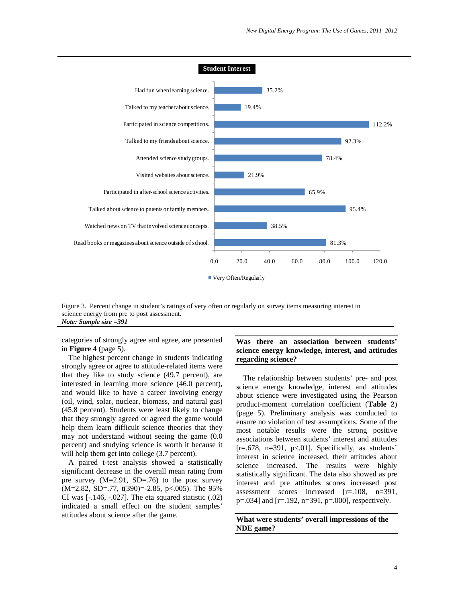

Figure 3. Percent change in student's ratings of very often or regularly on survey items measuring interest in science energy from pre to post assessment. *Note: Sample size =391*

categories of strongly agree and agree, are presented in **Figure 4** (page 5).

The highest percent change in students indicating strongly agree or agree to attitude-related items were that they like to study science (49.7 percent), are interested in learning more science (46.0 percent), and would like to have a career involving energy (oil, wind, solar, nuclear, biomass, and natural gas) (45.8 percent). Students were least likely to change that they strongly agreed or agreed the game would help them learn difficult science theories that they may not understand without seeing the game (0.0 percent) and studying science is worth it because it will help them get into college  $(3.7 \text{ percent})$ .

A paired t-test analysis showed a statistically significant decrease in the overall mean rating from pre survey (M=2.91, SD=.76) to the post survey (M=2.82, SD=.77, t(390)=-2.85, p<.005). The 95% CI was  $[-146, -027]$ . The eta squared statistic  $(0.02)$ indicated a small effect on the student samples' attitudes about science after the game.

## **Was there an association between students' science energy knowledge, interest, and attitudes regarding science?**

The relationship between students' pre- and post science energy knowledge, interest and attitudes about science were investigated using the Pearson product-moment correlation coefficient (**Table 2**) (page 5). Preliminary analysis was conducted to ensure no violation of test assumptions. Some of the most notable results were the strong positive associations between students' interest and attitudes  $[r=.678, n=391, p<.01]$ . Specifically, as students' interest in science increased, their attitudes about science increased. The results were highly statistically significant. The data also showed as pre interest and pre attitudes scores increased post assessment scores increased [r=.108, n=391, p=.034] and [r=.192, n=391, p=.000], respectively.

**What were students' overall impressions of the NDE game?**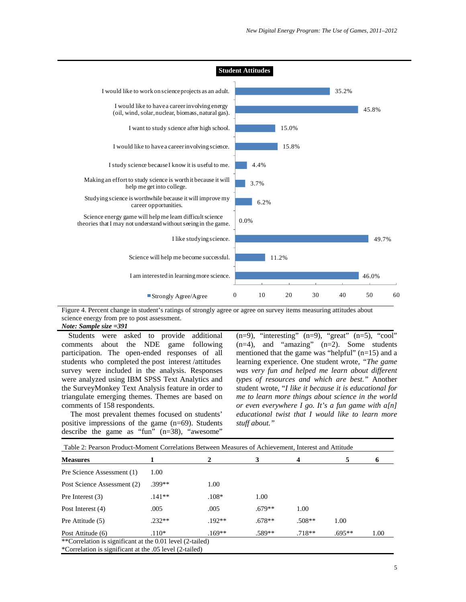

Figure 4. Percent change in student's ratings of strongly agree or agree on survey items measuring attitudes about science energy from pre to post assessment.

*Note: Sample size =391*

Students were asked to provide additional comments about the NDE game following participation. The open-ended responses of all students who completed the post interest /attitudes survey were included in the analysis. Responses were analyzed using IBM SPSS Text Analytics and the SurveyMonkey Text Analysis feature in order to triangulate emerging themes. Themes are based on comments of 158 respondents.

The most prevalent themes focused on students' positive impressions of the game (n=69). Students describe the game as "fun" (n=38), "awesome"

 $(n=9)$ , "interesting"  $(n=9)$ , "great"  $(n=5)$ , "cool"  $(n=4)$ , and "amazing"  $(n=2)$ . Some students mentioned that the game was "helpful" (n=15) and a learning experience. One student wrote, *"The game was very fun and helped me learn about different types of resources and which are best."* Another student wrote, "*I like it because it is educational for me to learn more things about science in the world or even everywhere I go. It's a fun game with a[n] educational twist that I would like to learn more stuff about."*

| <b>Measures</b>             |          | 2        | 3        | 4        | 5        | 0    |
|-----------------------------|----------|----------|----------|----------|----------|------|
| Pre Science Assessment (1)  | 1.00     |          |          |          |          |      |
| Post Science Assessment (2) | .399**   | 1.00     |          |          |          |      |
| Pre Interest $(3)$          | $.141**$ | $.108*$  | 1.00     |          |          |      |
| Post Interest (4)           | .005     | .005     | $.679**$ | 1.00     |          |      |
| Pre Attitude (5)            | $.232**$ | $192**$  | $.678**$ | $.508**$ | 1.00     |      |
| Post Attitude (6)           | $.110*$  | $.169**$ | .589**   | $.718**$ | $.695**$ | 1.00 |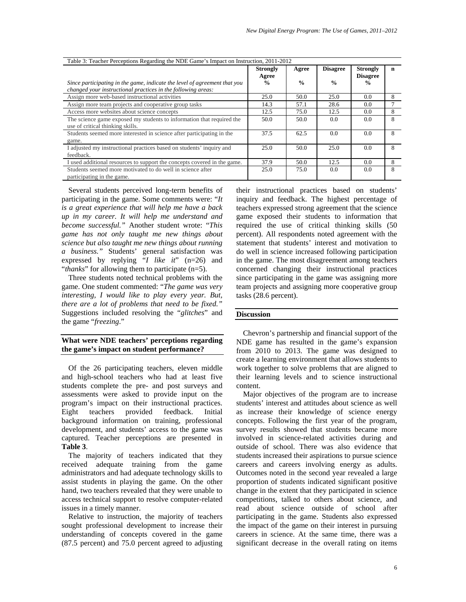| Table 3: Teacher Perceptions Regarding the NDE Game's Impact on Instruction, 2011-2012                    |                                           |                        |                                  |                                                      |   |  |  |
|-----------------------------------------------------------------------------------------------------------|-------------------------------------------|------------------------|----------------------------------|------------------------------------------------------|---|--|--|
| Since participating in the game, indicate the level of agreement that you                                 | <b>Strongly</b><br>Agree<br>$\frac{0}{0}$ | Agree<br>$\frac{0}{0}$ | <b>Disagree</b><br>$\frac{0}{0}$ | <b>Strongly</b><br><b>Disagree</b><br>$\frac{6}{10}$ | n |  |  |
| changed your instructional practices in the following areas:                                              |                                           |                        |                                  |                                                      |   |  |  |
| Assign more web-based instructional activities                                                            | 25.0                                      | 50.0                   | 25.0                             | 0.0                                                  | 8 |  |  |
| Assign more team projects and cooperative group tasks                                                     | 14.3                                      | 57.1                   | 28.6                             | 0.0                                                  |   |  |  |
| Access more websites about science concepts                                                               | 12.5                                      | 75.0                   | 12.5                             | 0.0                                                  | 8 |  |  |
| The science game exposed my students to information that required the<br>use of critical thinking skills. | 50.0                                      | 50.0                   | 0.0                              | 0.0                                                  | 8 |  |  |
| Students seemed more interested in science after participating in the<br>game.                            | 37.5                                      | 62.5                   | 0.0                              | 0.0                                                  | 8 |  |  |
| I adjusted my instructional practices based on students' inquiry and<br>feedback.                         | 25.0                                      | 50.0                   | 25.0                             | 0.0                                                  | 8 |  |  |
| I used additional resources to support the concepts covered in the game.                                  | 37.9                                      | 50.0                   | 12.5                             | 0.0                                                  | 8 |  |  |
| Students seemed more motivated to do well in science after<br>participating in the game.                  | 25.0                                      | 75.0                   | 0.0                              | 0.0                                                  | 8 |  |  |

Several students perceived long-term benefits of participating in the game. Some comments were: "*It is a great experience that will help me have a back up in my career. It will help me understand and become successful."* Another student wrote: "*This game has not only taught me new things about science but also taught me new things about running a business."* Students' general satisfaction was expressed by replying "*I like it*" (n=26) and "*thanks*" for allowing them to participate (n=5).

Three students noted technical problems with the game. One student commented: "*The game was very interesting, I would like to play every year. But, there are a lot of problems that need to be fixed."* Suggestions included resolving the "*glitches*" and the game "*freezing*."

# **What were NDE teachers' perceptions regarding the game's impact on student performance?**

Of the 26 participating teachers, eleven middle and high-school teachers who had at least five students complete the pre- and post surveys and assessments were asked to provide input on the program's impact on their instructional practices. Eight teachers provided feedback. Initial background information on training, professional development, and students' access to the game was captured. Teacher perceptions are presented in **Table 3**.

The majority of teachers indicated that they received adequate training from the game administrators and had adequate technology skills to assist students in playing the game. On the other hand, two teachers revealed that they were unable to access technical support to resolve computer-related issues in a timely manner.

Relative to instruction, the majority of teachers sought professional development to increase their understanding of concepts covered in the game (87.5 percent) and 75.0 percent agreed to adjusting their instructional practices based on students' inquiry and feedback. The highest percentage of teachers expressed strong agreement that the science game exposed their students to information that required the use of critical thinking skills (50 percent). All respondents noted agreement with the statement that students' interest and motivation to do well in science increased following participation in the game. The most disagreement among teachers concerned changing their instructional practices since participating in the game was assigning more team projects and assigning more cooperative group tasks (28.6 percent).

#### **Discussion**

Chevron's partnership and financial support of the NDE game has resulted in the game's expansion from 2010 to 2013. The game was designed to create a learning environment that allows students to work together to solve problems that are aligned to their learning levels and to science instructional content.

Major objectives of the program are to increase students' interest and attitudes about science as well as increase their knowledge of science energy concepts. Following the first year of the program, survey results showed that students became more involved in science-related activities during and outside of school. There was also evidence that students increased their aspirations to pursue science careers and careers involving energy as adults. Outcomes noted in the second year revealed a large proportion of students indicated significant positive change in the extent that they participated in science competitions, talked to others about science, and read about science outside of school after participating in the game. Students also expressed the impact of the game on their interest in pursuing careers in science. At the same time, there was a significant decrease in the overall rating on items